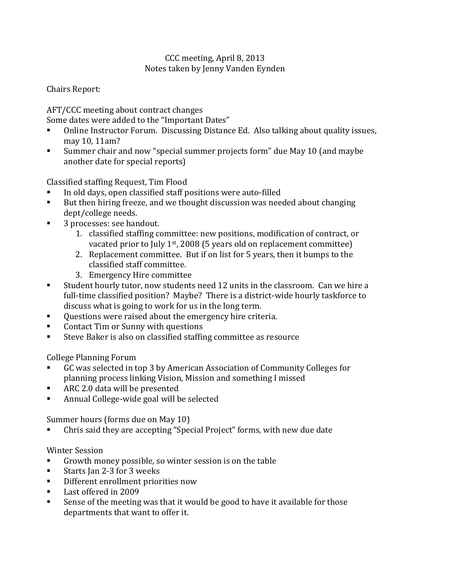## CCC meeting, April 8, 2013 Notes taken by Jenny Vanden Eynden

Chairs Report:

AFT/CCC meeting about contract changes

- Some dates were added to the "Important Dates"<br>Conline Instructor Forum, Discussing Distanc Online Instructor Forum. Discussing Distance Ed. Also talking about quality issues, may 10, 11am?
- Summer chair and now "special summer projects form" due May 10 (and maybe another date for special reports)

Classified staffing Request, Tim Flood<br>■ In old days, open classified staff n

- In old days, open classified staff positions were auto-filled<br>But then hiring freeze and we thought discussion was need
- But then hiring freeze, and we thought discussion was needed about changing dept/college needs.
- 3 processes: see handout.
	- 1. classified staffing committee: new positions, modification of contract, or vacated prior to July 1st, 2008 (5 years old on replacement committee)
	- 2. Replacement committee. But if on list for 5 years, then it bumps to the classified staff committee.
	- 3. Emergency Hire committee
- Student hourly tutor, now students need 12 units in the classroom. Can we hire a full-time classified position? Maybe? There is a district-wide hourly taskforce to discuss what is going to work for us in the long term.
- Questions were raised about the emergency hire criteria.<br>■ Contact Tim or Sunny with questions
- Contact Tim or Sunny with questions
- Steve Baker is also on classified staffing committee as resource

College Planning Forum

- GC was selected in top 3 by American Association of Community Colleges for planning process linking Vision, Mission and something I missed
- ARC 2.0 data will be presented<br>■ Annual College-wide goal will b
- Annual College-wide goal will be selected

Summer hours (forms due on May 10)

Chris said they are accepting "Special Project" forms, with new due date

Winter Session<br>Crowth mo

- Growth money possible, so winter session is on the table<br>Starts Jan 2-3 for 3 weeks
- Starts Jan 2-3 for 3 weeks<br>■ Different enrollment prior
- Different enrollment priorities now<br>Last offered in 2009
- Last offered in 2009
- Sense of the meeting was that it would be good to have it available for those departments that want to offer it.